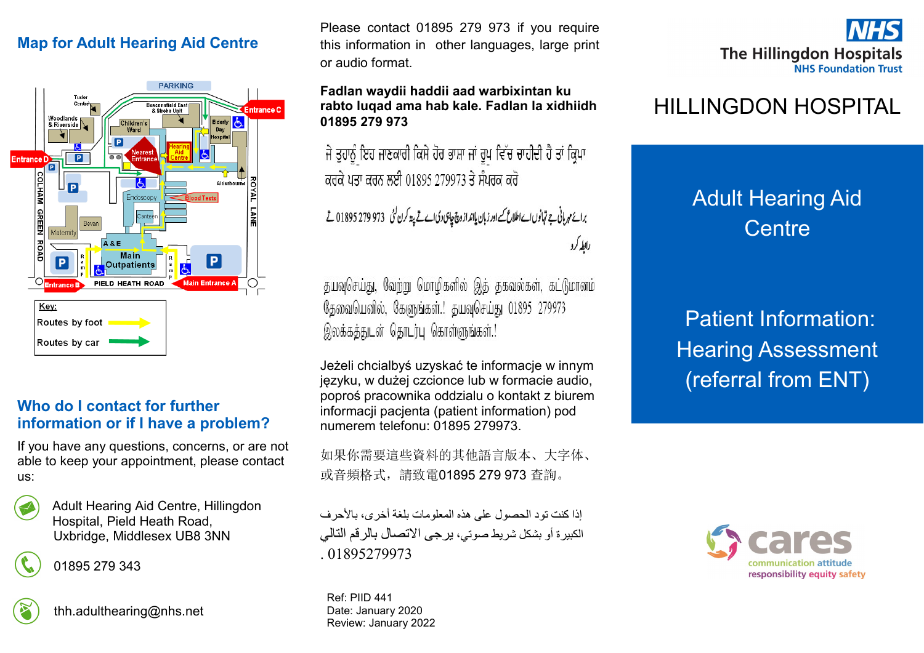## **Map for Adult Hearing Aid Centre**



#### **Who do I contact for further information or if I have a problem?**

If you have any questions, concerns, or are not able to keep your appointment, please contact us:

| . .<br>٠<br>۰.<br>۰.<br>۰.<br>٠<br>۰, | ×<br>I<br>۰,<br>٠<br>ĉ<br>×<br>٠<br>۰. |  |
|---------------------------------------|----------------------------------------|--|
| ×                                     | ٠.<br>٠                                |  |

Adult Hearing Aid Centre, Hillingdon Hospital, Pield Heath Road, Uxbridge, Middlesex UB8 3NN

01895 279 343



thh.adulthearing@nhs.net

Please contact 01895 279 973 if you require this information in other languages, large print or audio format.

#### **Fadlan waydii haddii aad warbixintan ku rabto luqad ama hab kale. Fadlan la xidhiidh 01895 279 973**

ਜੇ ਤੁਹਾਨੂੰ ਇਹ ਜਾਣਕਾਰੀ ਕਿਸੇ ਹੋਰ ਭਾਸ਼ਾ ਜਾਂ ਰੂਪ ਵਿੱਚ ਚਾਹੀਦੀ ਹੈ ਤਾਂ ਕ੍ਰਿਪਾ ਕਰਕੇ ਪਤਾ ਕਰਨ ਲਈ 01895 279973 ਤੇ ਸੰਪਰਕ ਕਰੋ

برائع مہربانی ہے تہانوں اے اطلاع کے اور زبان یاانداز وچ چاہی دی اے تے پھ کرن گئی ۔973 279 279 تا تے رابطه کرد

தயவுசெய்து, வேற்று மொழிகளில் இத் தகவல்கள், கட்டுமானம் தேவையெனில், கேளுங்கள்.! தயவுசெய்து 01895 279973 இலக்கத்துடன் தொடர்பு கொள்ளுங்கள்.!

Jeżeli chcialbyś uzyskać te informacje w innym języku, w dużej czcionce lub w formacie audio, poproś pracownika oddzialu o kontakt z biurem informacji pacjenta (patient information) pod numerem telefonu: 01895 279973.

如果你需要這些資料的其他語言版本、大字体、 或音頻格式,請致電01895 279 973 查詢。

إذا كنت تود الحصول على هذه المعلومات بلغة أخرى، بالأحرف الكبيرة أو بشكل شريط صوتي، يرجى االتصال بالرقم التالي 01895279973

Ref: PIID 441 Date: January 2020 Review: January 2022



# HILLINGDON HOSPITAL

# Adult Hearing Aid **Centre**

Patient Information: Hearing Assessment (referral from ENT)